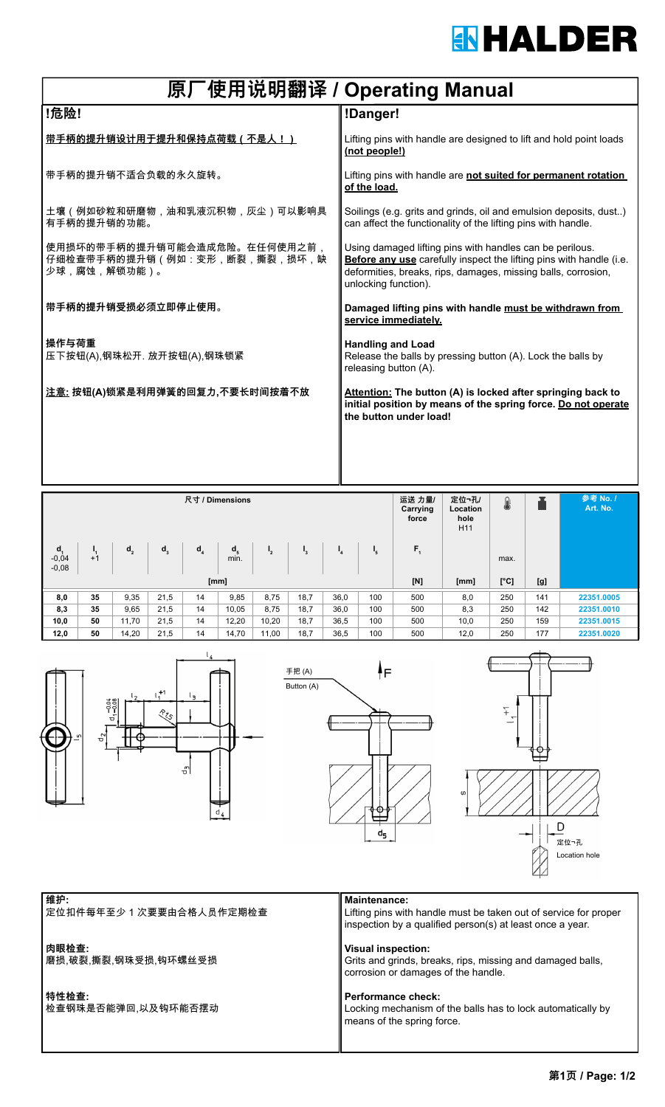# **IN HALDER**

| 原厂使用说明翻译 / Operating Manual                                                  |                                                                                                                                                                                                                          |  |  |  |  |  |  |
|------------------------------------------------------------------------------|--------------------------------------------------------------------------------------------------------------------------------------------------------------------------------------------------------------------------|--|--|--|--|--|--|
| !危险!                                                                         | !Danger!                                                                                                                                                                                                                 |  |  |  |  |  |  |
| <u>带手柄的提升销设计用于提升和保持点荷载(不是人!)</u>                                             | Lifting pins with handle are designed to lift and hold point loads<br>(not people!)                                                                                                                                      |  |  |  |  |  |  |
| 带手柄的提升销不适合负载的永久旋转。                                                           | Lifting pins with handle are not suited for permanent rotation<br>of the load.                                                                                                                                           |  |  |  |  |  |  |
| 土壤(例如砂粒和研磨物,油和乳液沉积物,灰尘)可以影响具<br>有手柄的提升销的功能。                                  | Soilings (e.g. grits and grinds, oil and emulsion deposits, dust)<br>can affect the functionality of the lifting pins with handle.                                                                                       |  |  |  |  |  |  |
| 使用损坏的带手柄的提升销可能会造成危险。在任何使用之前,<br>仔细检查带手柄的提升销(例如:变形,断裂,撕裂,损坏,缺<br>少球,腐蚀,解锁功能)。 | Using damaged lifting pins with handles can be perilous.<br>Before any use carefully inspect the lifting pins with handle (i.e.<br>deformities, breaks, rips, damages, missing balls, corrosion,<br>unlocking function). |  |  |  |  |  |  |
| 带手柄的提升销受损必须立即停止使用。                                                           | Damaged lifting pins with handle must be withdrawn from<br>service immediately.                                                                                                                                          |  |  |  |  |  |  |
| 操作与荷重<br>压下按钮(A),钢珠松开. 放开按钮(A),钢珠锁紧                                          | <b>Handling and Load</b><br>Release the balls by pressing button (A). Lock the balls by<br>releasing button (A).                                                                                                         |  |  |  |  |  |  |
| <u>注意:</u> 按钮(A)锁紧是利用弹簧的回复力,不要长时间按着不放                                        | Attention: The button (A) is locked after springing back to<br>initial position by means of the spring force. Do not operate<br>the button under load!                                                                   |  |  |  |  |  |  |
|                                                                              |                                                                                                                                                                                                                          |  |  |  |  |  |  |

| 尺寸 / Dimensions               |                        |         |       |       |                 |                  | 运送 力量/<br>Carrying<br>force | 定位¬孔/<br>Location<br>hole<br>H <sub>11</sub> | n:               |         | 参考 No. /<br>Art. No. |      |     |            |
|-------------------------------|------------------------|---------|-------|-------|-----------------|------------------|-----------------------------|----------------------------------------------|------------------|---------|----------------------|------|-----|------------|
| $d_{1}$<br>$-0,04$<br>$-0,08$ | $\mathbf{I}_1$<br>$+1$ | $d_{2}$ | $d_3$ | $d_a$ | $d_{5}$<br>min. | $\mathsf{I}_{2}$ | $\mathbf{I}_3$              | $\mathbf{I}_4$                               | $\mathbf{I}_{5}$ | $F_{1}$ |                      | max. |     |            |
| [mm]                          |                        |         |       |       |                 |                  |                             | [N]                                          | [mm]             | [°C]    | [g]                  |      |     |            |
| 8,0                           | 35                     | 9,35    | 21,5  | 14    | 9,85            | 8,75             | 18,7                        | 36,0                                         | 100              | 500     | 8,0                  | 250  | 141 | 22351.0005 |
| 8,3                           | 35                     | 9,65    | 21,5  | 14    | 10,05           | 8,75             | 18,7                        | 36,0                                         | 100              | 500     | 8,3                  | 250  | 142 | 22351.0010 |
| 10,0                          | 50                     | 11,70   | 21,5  | 14    | 12,20           | 10,20            | 18,7                        | 36,5                                         | 100              | 500     | 10,0                 | 250  | 159 | 22351.0015 |
| 12,0                          | 50                     | 14,20   | 21,5  | 14    | 14,70           | 11,00            | 18,7                        | 36,5                                         | 100              | 500     | 12,0                 | 250  | 177 | 22351.0020 |



定位扣件每年至少 1 次要要由合格人员作定期检查

### **肉眼检查:**

. - - - - -<br>磨损,破裂,撕裂,钢珠受损,钩环螺丝受损

#### **特性检查:**

…………<br>检查钢珠是否能弹回,以及钩环能否摆动

Lifting pins with handle must be taken out of service for proper inspection by a qualified person(s) at least once a year.

## **Visual inspection:**

Grits and grinds, breaks, rips, missing and damaged balls, corrosion or damages of the handle.

#### **Performance check:**

Locking mechanism of the balls has to lock automatically by means of the spring force.